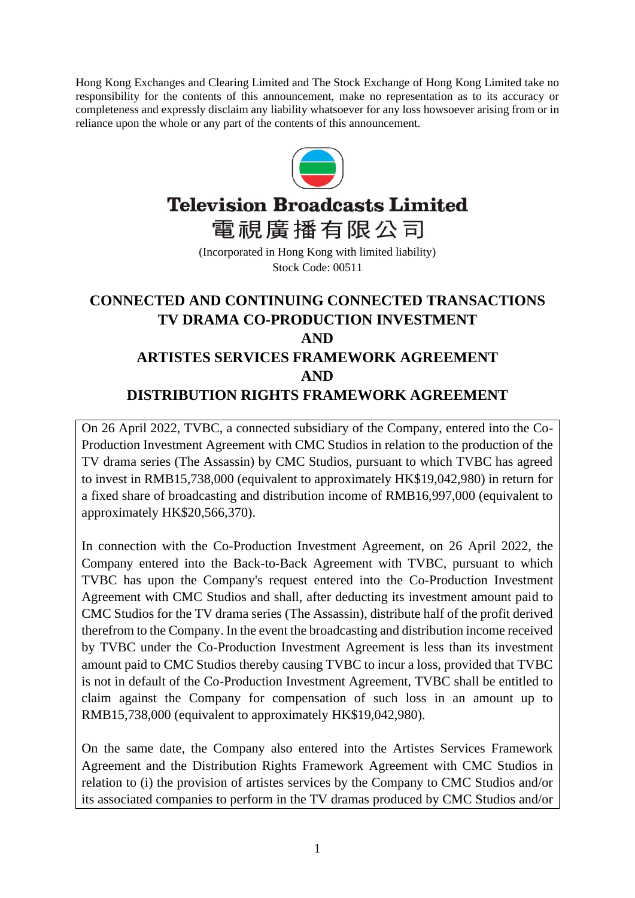Hong Kong Exchanges and Clearing Limited and The Stock Exchange of Hong Kong Limited take no responsibility for the contents of this announcement, make no representation as to its accuracy or completeness and expressly disclaim any liability whatsoever for any loss howsoever arising from or in reliance upon the whole or any part of the contents of this announcement.



# **Television Broadcasts Limited**

電視廣播有限公司

(Incorporated in Hong Kong with limited liability) Stock Code: 00511

# **CONNECTED AND CONTINUING CONNECTED TRANSACTIONS TV DRAMA CO-PRODUCTION INVESTMENT AND ARTISTES SERVICES FRAMEWORK AGREEMENT AND DISTRIBUTION RIGHTS FRAMEWORK AGREEMENT**

On 26 April 2022, TVBC, a connected subsidiary of the Company, entered into the Co-Production Investment Agreement with CMC Studios in relation to the production of the TV drama series (The Assassin) by CMC Studios, pursuant to which TVBC has agreed to invest in RMB15,738,000 (equivalent to approximately HK\$19,042,980) in return for a fixed share of broadcasting and distribution income of RMB16,997,000 (equivalent to approximately HK\$20,566,370).

In connection with the Co-Production Investment Agreement, on 26 April 2022, the Company entered into the Back-to-Back Agreement with TVBC, pursuant to which TVBC has upon the Company's request entered into the Co-Production Investment Agreement with CMC Studios and shall, after deducting its investment amount paid to CMC Studios for the TV drama series (The Assassin), distribute half of the profit derived therefrom to the Company. In the event the broadcasting and distribution income received by TVBC under the Co-Production Investment Agreement is less than its investment amount paid to CMC Studios thereby causing TVBC to incur a loss, provided that TVBC is not in default of the Co-Production Investment Agreement, TVBC shall be entitled to claim against the Company for compensation of such loss in an amount up to RMB15,738,000 (equivalent to approximately HK\$19,042,980).

On the same date, the Company also entered into the Artistes Services Framework Agreement and the Distribution Rights Framework Agreement with CMC Studios in relation to (i) the provision of artistes services by the Company to CMC Studios and/or its associated companies to perform in the TV dramas produced by CMC Studios and/or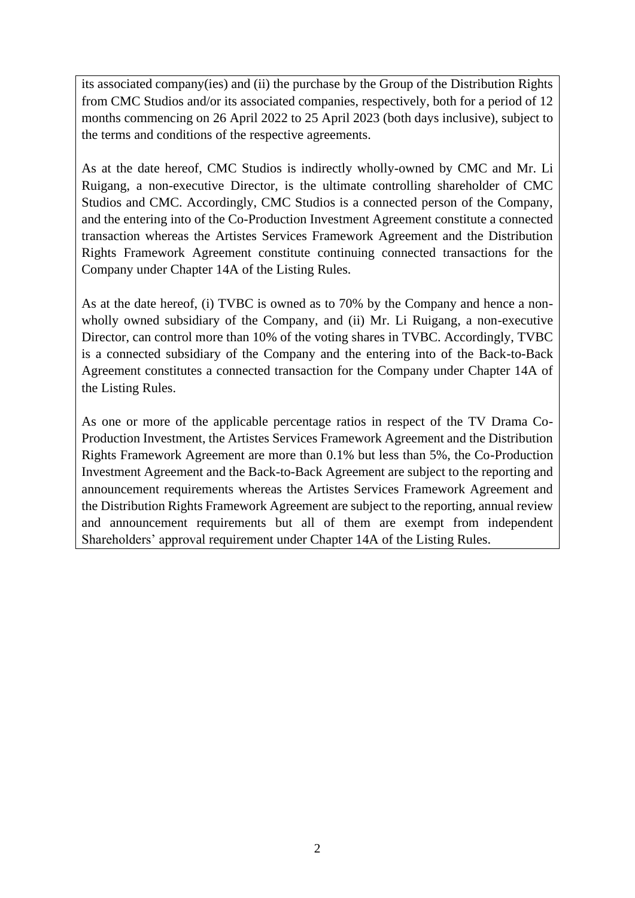its associated company(ies) and (ii) the purchase by the Group of the Distribution Rights from CMC Studios and/or its associated companies, respectively, both for a period of 12 months commencing on 26 April 2022 to 25 April 2023 (both days inclusive), subject to the terms and conditions of the respective agreements.

As at the date hereof, CMC Studios is indirectly wholly-owned by CMC and Mr. Li Ruigang, a non-executive Director, is the ultimate controlling shareholder of CMC Studios and CMC. Accordingly, CMC Studios is a connected person of the Company, and the entering into of the Co-Production Investment Agreement constitute a connected transaction whereas the Artistes Services Framework Agreement and the Distribution Rights Framework Agreement constitute continuing connected transactions for the Company under Chapter 14A of the Listing Rules.

As at the date hereof, (i) TVBC is owned as to 70% by the Company and hence a nonwholly owned subsidiary of the Company, and (ii) Mr. Li Ruigang, a non-executive Director, can control more than 10% of the voting shares in TVBC. Accordingly, TVBC is a connected subsidiary of the Company and the entering into of the Back-to-Back Agreement constitutes a connected transaction for the Company under Chapter 14A of the Listing Rules.

As one or more of the applicable percentage ratios in respect of the TV Drama Co-Production Investment, the Artistes Services Framework Agreement and the Distribution Rights Framework Agreement are more than 0.1% but less than 5%, the Co-Production Investment Agreement and the Back-to-Back Agreement are subject to the reporting and announcement requirements whereas the Artistes Services Framework Agreement and the Distribution Rights Framework Agreement are subject to the reporting, annual review and announcement requirements but all of them are exempt from independent Shareholders' approval requirement under Chapter 14A of the Listing Rules.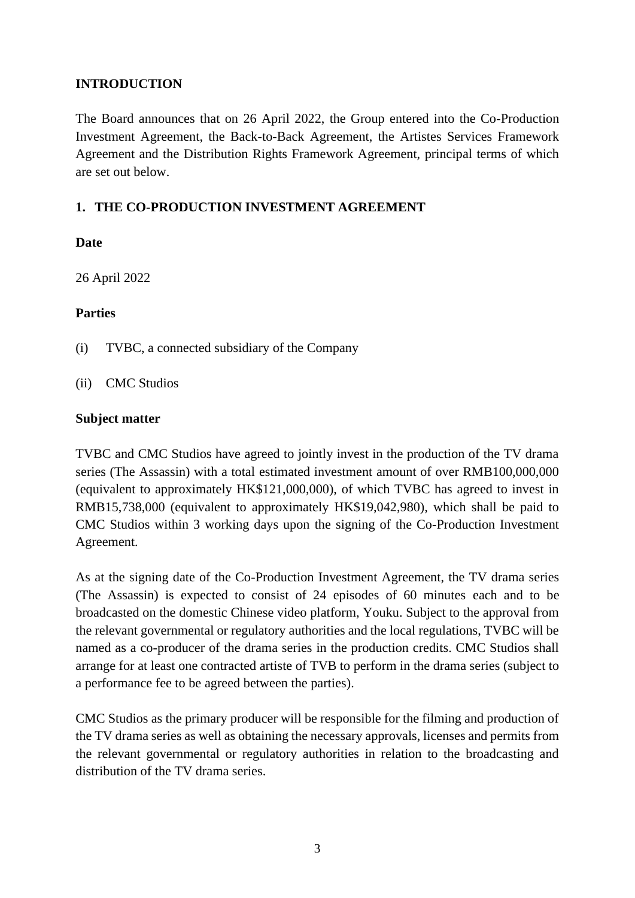#### **INTRODUCTION**

The Board announces that on 26 April 2022, the Group entered into the Co-Production Investment Agreement, the Back-to-Back Agreement, the Artistes Services Framework Agreement and the Distribution Rights Framework Agreement, principal terms of which are set out below.

#### **1. THE CO-PRODUCTION INVESTMENT AGREEMENT**

#### **Date**

26 April 2022

#### **Parties**

- (i) TVBC, a connected subsidiary of the Company
- (ii) CMC Studios

#### **Subject matter**

TVBC and CMC Studios have agreed to jointly invest in the production of the TV drama series (The Assassin) with a total estimated investment amount of over RMB100,000,000 (equivalent to approximately HK\$121,000,000), of which TVBC has agreed to invest in RMB15,738,000 (equivalent to approximately HK\$19,042,980), which shall be paid to CMC Studios within 3 working days upon the signing of the Co-Production Investment Agreement.

As at the signing date of the Co-Production Investment Agreement, the TV drama series (The Assassin) is expected to consist of 24 episodes of 60 minutes each and to be broadcasted on the domestic Chinese video platform, Youku. Subject to the approval from the relevant governmental or regulatory authorities and the local regulations, TVBC will be named as a co-producer of the drama series in the production credits. CMC Studios shall arrange for at least one contracted artiste of TVB to perform in the drama series (subject to a performance fee to be agreed between the parties).

CMC Studios as the primary producer will be responsible for the filming and production of the TV drama series as well as obtaining the necessary approvals, licenses and permits from the relevant governmental or regulatory authorities in relation to the broadcasting and distribution of the TV drama series.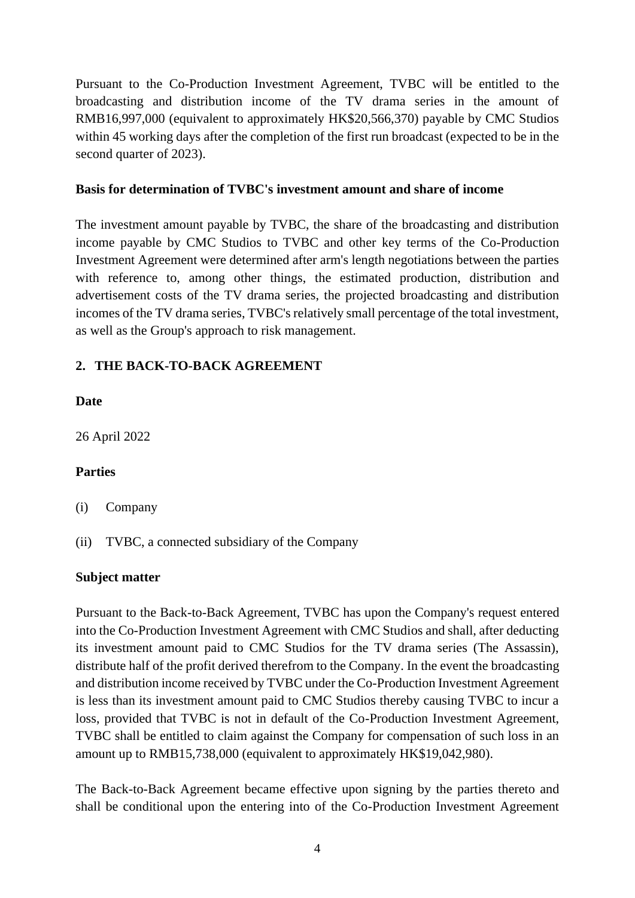Pursuant to the Co-Production Investment Agreement, TVBC will be entitled to the broadcasting and distribution income of the TV drama series in the amount of RMB16,997,000 (equivalent to approximately HK\$20,566,370) payable by CMC Studios within 45 working days after the completion of the first run broadcast (expected to be in the second quarter of 2023).

#### **Basis for determination of TVBC's investment amount and share of income**

The investment amount payable by TVBC, the share of the broadcasting and distribution income payable by CMC Studios to TVBC and other key terms of the Co-Production Investment Agreement were determined after arm's length negotiations between the parties with reference to, among other things, the estimated production, distribution and advertisement costs of the TV drama series, the projected broadcasting and distribution incomes of the TV drama series, TVBC's relatively small percentage of the total investment, as well as the Group's approach to risk management.

## **2. THE BACK-TO-BACK AGREEMENT**

#### **Date**

26 April 2022

#### **Parties**

- (i) Company
- (ii) TVBC, a connected subsidiary of the Company

#### **Subject matter**

Pursuant to the Back-to-Back Agreement, TVBC has upon the Company's request entered into the Co-Production Investment Agreement with CMC Studios and shall, after deducting its investment amount paid to CMC Studios for the TV drama series (The Assassin), distribute half of the profit derived therefrom to the Company. In the event the broadcasting and distribution income received by TVBC under the Co-Production Investment Agreement is less than its investment amount paid to CMC Studios thereby causing TVBC to incur a loss, provided that TVBC is not in default of the Co-Production Investment Agreement, TVBC shall be entitled to claim against the Company for compensation of such loss in an amount up to RMB15,738,000 (equivalent to approximately HK\$19,042,980).

The Back-to-Back Agreement became effective upon signing by the parties thereto and shall be conditional upon the entering into of the Co-Production Investment Agreement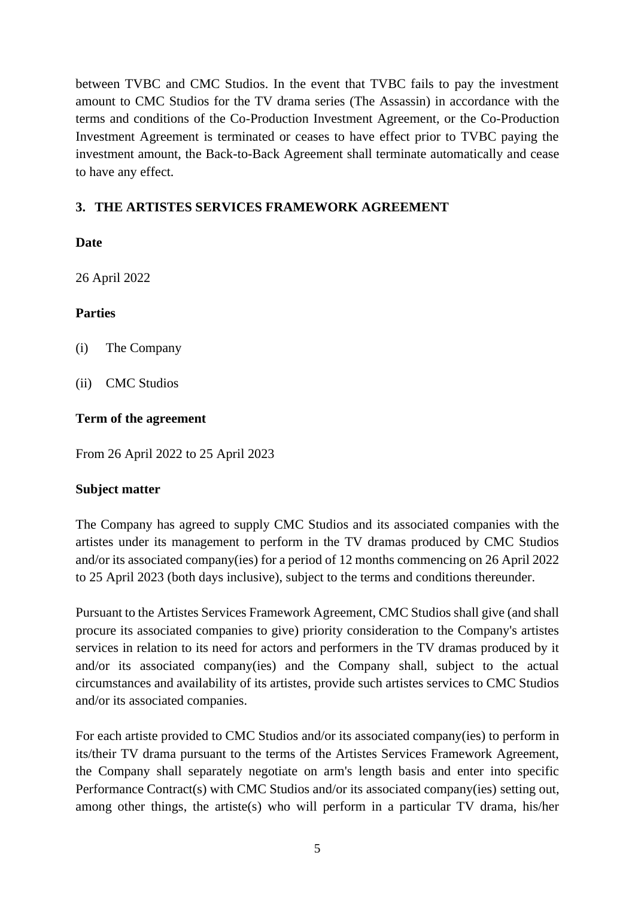between TVBC and CMC Studios. In the event that TVBC fails to pay the investment amount to CMC Studios for the TV drama series (The Assassin) in accordance with the terms and conditions of the Co-Production Investment Agreement, or the Co-Production Investment Agreement is terminated or ceases to have effect prior to TVBC paying the investment amount, the Back-to-Back Agreement shall terminate automatically and cease to have any effect.

# **3. THE ARTISTES SERVICES FRAMEWORK AGREEMENT**

## **Date**

26 April 2022

## **Parties**

- (i) The Company
- (ii) CMC Studios

#### **Term of the agreement**

From 26 April 2022 to 25 April 2023

#### **Subject matter**

The Company has agreed to supply CMC Studios and its associated companies with the artistes under its management to perform in the TV dramas produced by CMC Studios and/or its associated company(ies) for a period of 12 months commencing on 26 April 2022 to 25 April 2023 (both days inclusive), subject to the terms and conditions thereunder.

Pursuant to the Artistes Services Framework Agreement, CMC Studios shall give (and shall procure its associated companies to give) priority consideration to the Company's artistes services in relation to its need for actors and performers in the TV dramas produced by it and/or its associated company(ies) and the Company shall, subject to the actual circumstances and availability of its artistes, provide such artistes services to CMC Studios and/or its associated companies.

For each artiste provided to CMC Studios and/or its associated company(ies) to perform in its/their TV drama pursuant to the terms of the Artistes Services Framework Agreement, the Company shall separately negotiate on arm's length basis and enter into specific Performance Contract(s) with CMC Studios and/or its associated company(ies) setting out, among other things, the artiste(s) who will perform in a particular TV drama, his/her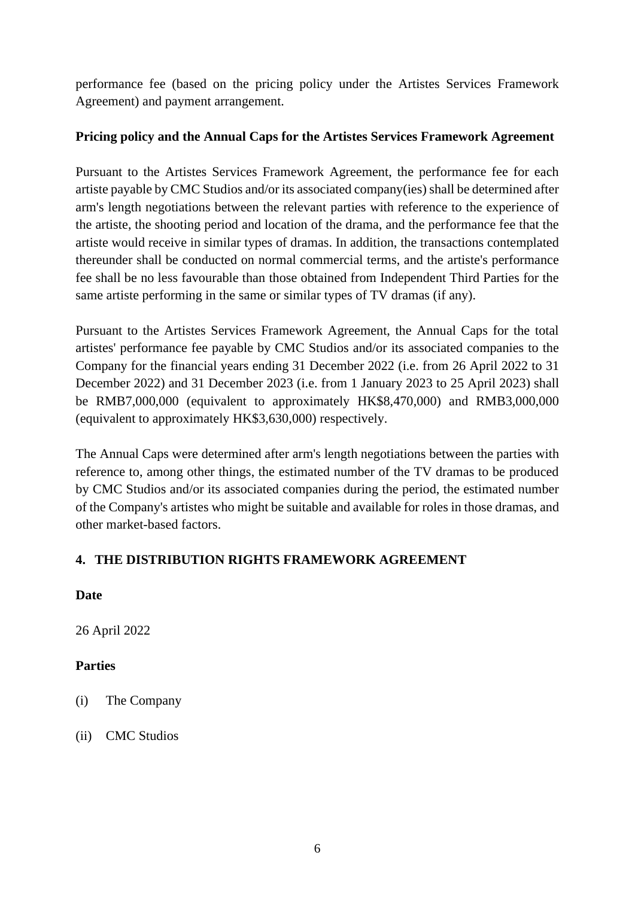performance fee (based on the pricing policy under the Artistes Services Framework Agreement) and payment arrangement.

#### **Pricing policy and the Annual Caps for the Artistes Services Framework Agreement**

Pursuant to the Artistes Services Framework Agreement, the performance fee for each artiste payable by CMC Studios and/or its associated company(ies) shall be determined after arm's length negotiations between the relevant parties with reference to the experience of the artiste, the shooting period and location of the drama, and the performance fee that the artiste would receive in similar types of dramas. In addition, the transactions contemplated thereunder shall be conducted on normal commercial terms, and the artiste's performance fee shall be no less favourable than those obtained from Independent Third Parties for the same artiste performing in the same or similar types of TV dramas (if any).

Pursuant to the Artistes Services Framework Agreement, the Annual Caps for the total artistes' performance fee payable by CMC Studios and/or its associated companies to the Company for the financial years ending 31 December 2022 (i.e. from 26 April 2022 to 31 December 2022) and 31 December 2023 (i.e. from 1 January 2023 to 25 April 2023) shall be RMB7,000,000 (equivalent to approximately HK\$8,470,000) and RMB3,000,000 (equivalent to approximately HK\$3,630,000) respectively.

The Annual Caps were determined after arm's length negotiations between the parties with reference to, among other things, the estimated number of the TV dramas to be produced by CMC Studios and/or its associated companies during the period, the estimated number of the Company's artistes who might be suitable and available for roles in those dramas, and other market-based factors.

# **4. THE DISTRIBUTION RIGHTS FRAMEWORK AGREEMENT**

## **Date**

26 April 2022

## **Parties**

- (i) The Company
- (ii) CMC Studios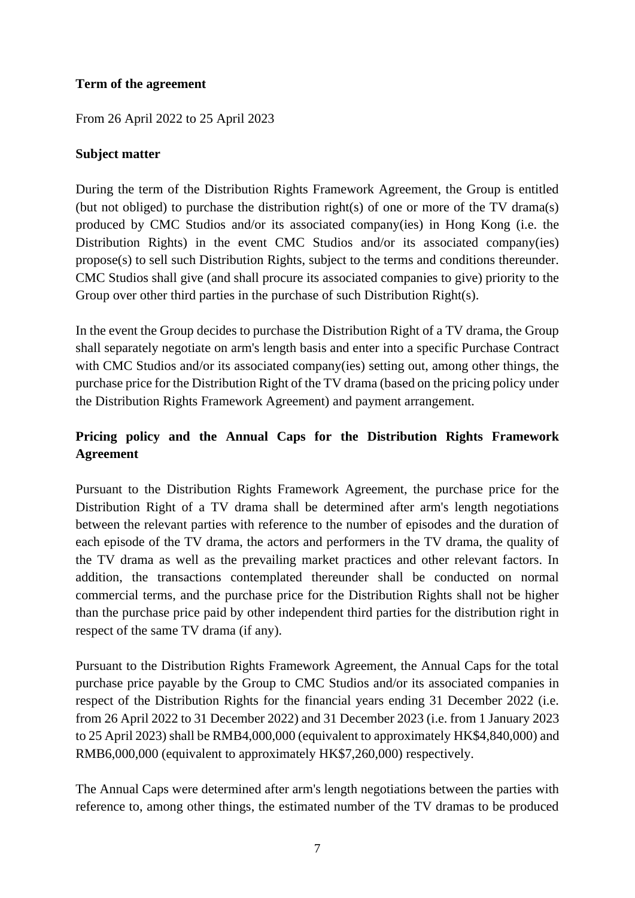#### **Term of the agreement**

From 26 April 2022 to 25 April 2023

#### **Subject matter**

During the term of the Distribution Rights Framework Agreement, the Group is entitled (but not obliged) to purchase the distribution right(s) of one or more of the TV drama(s) produced by CMC Studios and/or its associated company(ies) in Hong Kong (i.e. the Distribution Rights) in the event CMC Studios and/or its associated company(ies) propose(s) to sell such Distribution Rights, subject to the terms and conditions thereunder. CMC Studios shall give (and shall procure its associated companies to give) priority to the Group over other third parties in the purchase of such Distribution Right(s).

In the event the Group decides to purchase the Distribution Right of a TV drama, the Group shall separately negotiate on arm's length basis and enter into a specific Purchase Contract with CMC Studios and/or its associated company(ies) setting out, among other things, the purchase price for the Distribution Right of the TV drama (based on the pricing policy under the Distribution Rights Framework Agreement) and payment arrangement.

# **Pricing policy and the Annual Caps for the Distribution Rights Framework Agreement**

Pursuant to the Distribution Rights Framework Agreement, the purchase price for the Distribution Right of a TV drama shall be determined after arm's length negotiations between the relevant parties with reference to the number of episodes and the duration of each episode of the TV drama, the actors and performers in the TV drama, the quality of the TV drama as well as the prevailing market practices and other relevant factors. In addition, the transactions contemplated thereunder shall be conducted on normal commercial terms, and the purchase price for the Distribution Rights shall not be higher than the purchase price paid by other independent third parties for the distribution right in respect of the same TV drama (if any).

Pursuant to the Distribution Rights Framework Agreement, the Annual Caps for the total purchase price payable by the Group to CMC Studios and/or its associated companies in respect of the Distribution Rights for the financial years ending 31 December 2022 (i.e. from 26 April 2022 to 31 December 2022) and 31 December 2023 (i.e. from 1 January 2023 to 25 April 2023) shall be RMB4,000,000 (equivalent to approximately HK\$4,840,000) and RMB6,000,000 (equivalent to approximately HK\$7,260,000) respectively.

The Annual Caps were determined after arm's length negotiations between the parties with reference to, among other things, the estimated number of the TV dramas to be produced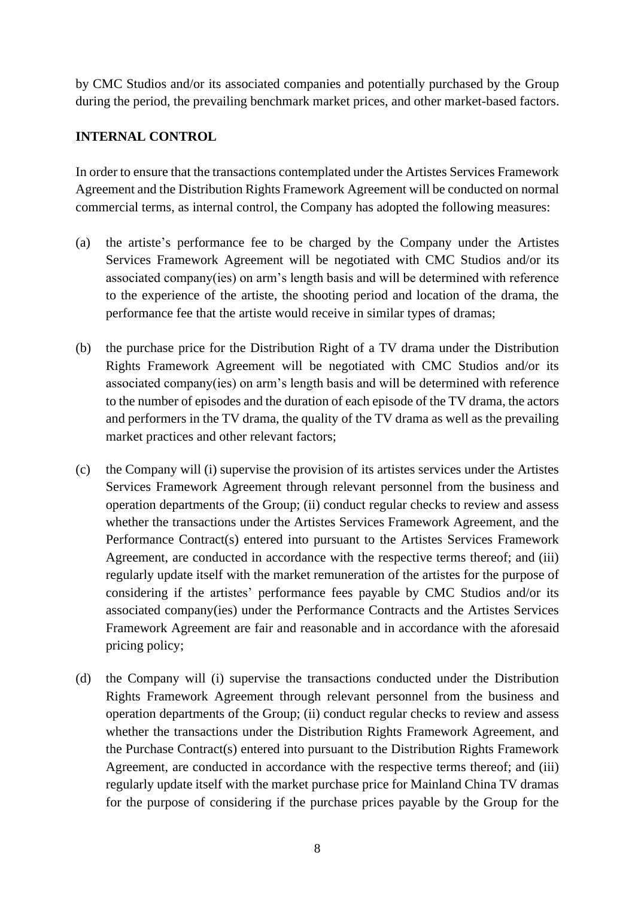by CMC Studios and/or its associated companies and potentially purchased by the Group during the period, the prevailing benchmark market prices, and other market-based factors.

#### **INTERNAL CONTROL**

In order to ensure that the transactions contemplated under the Artistes Services Framework Agreement and the Distribution Rights Framework Agreement will be conducted on normal commercial terms, as internal control, the Company has adopted the following measures:

- (a) the artiste's performance fee to be charged by the Company under the Artistes Services Framework Agreement will be negotiated with CMC Studios and/or its associated company(ies) on arm's length basis and will be determined with reference to the experience of the artiste, the shooting period and location of the drama, the performance fee that the artiste would receive in similar types of dramas;
- (b) the purchase price for the Distribution Right of a TV drama under the Distribution Rights Framework Agreement will be negotiated with CMC Studios and/or its associated company(ies) on arm's length basis and will be determined with reference to the number of episodes and the duration of each episode of the TV drama, the actors and performers in the TV drama, the quality of the TV drama as well as the prevailing market practices and other relevant factors;
- (c) the Company will (i) supervise the provision of its artistes services under the Artistes Services Framework Agreement through relevant personnel from the business and operation departments of the Group; (ii) conduct regular checks to review and assess whether the transactions under the Artistes Services Framework Agreement, and the Performance Contract(s) entered into pursuant to the Artistes Services Framework Agreement, are conducted in accordance with the respective terms thereof; and (iii) regularly update itself with the market remuneration of the artistes for the purpose of considering if the artistes' performance fees payable by CMC Studios and/or its associated company(ies) under the Performance Contracts and the Artistes Services Framework Agreement are fair and reasonable and in accordance with the aforesaid pricing policy;
- (d) the Company will (i) supervise the transactions conducted under the Distribution Rights Framework Agreement through relevant personnel from the business and operation departments of the Group; (ii) conduct regular checks to review and assess whether the transactions under the Distribution Rights Framework Agreement, and the Purchase Contract(s) entered into pursuant to the Distribution Rights Framework Agreement, are conducted in accordance with the respective terms thereof; and (iii) regularly update itself with the market purchase price for Mainland China TV dramas for the purpose of considering if the purchase prices payable by the Group for the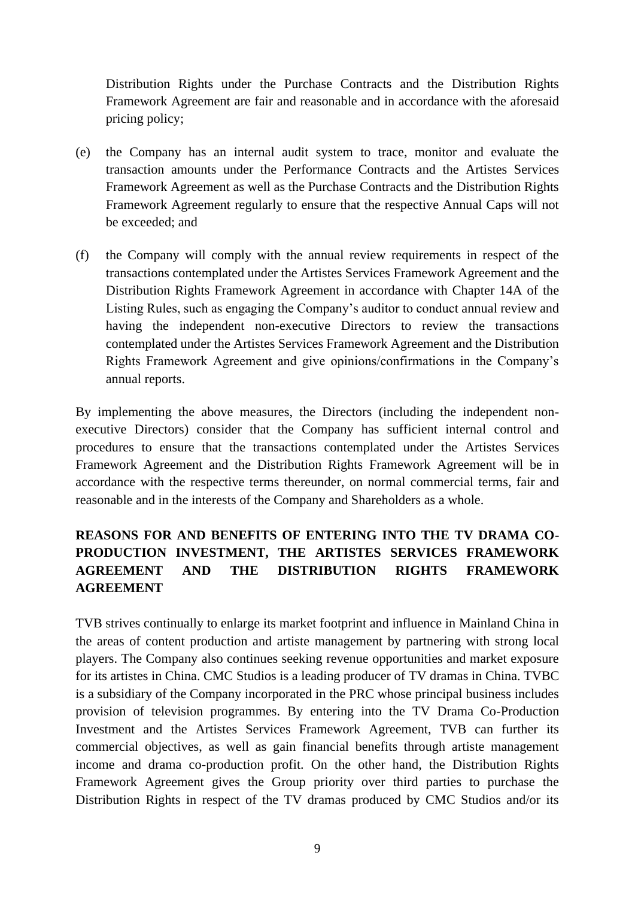Distribution Rights under the Purchase Contracts and the Distribution Rights Framework Agreement are fair and reasonable and in accordance with the aforesaid pricing policy;

- (e) the Company has an internal audit system to trace, monitor and evaluate the transaction amounts under the Performance Contracts and the Artistes Services Framework Agreement as well as the Purchase Contracts and the Distribution Rights Framework Agreement regularly to ensure that the respective Annual Caps will not be exceeded; and
- (f) the Company will comply with the annual review requirements in respect of the transactions contemplated under the Artistes Services Framework Agreement and the Distribution Rights Framework Agreement in accordance with Chapter 14A of the Listing Rules, such as engaging the Company's auditor to conduct annual review and having the independent non-executive Directors to review the transactions contemplated under the Artistes Services Framework Agreement and the Distribution Rights Framework Agreement and give opinions/confirmations in the Company's annual reports.

By implementing the above measures, the Directors (including the independent nonexecutive Directors) consider that the Company has sufficient internal control and procedures to ensure that the transactions contemplated under the Artistes Services Framework Agreement and the Distribution Rights Framework Agreement will be in accordance with the respective terms thereunder, on normal commercial terms, fair and reasonable and in the interests of the Company and Shareholders as a whole.

## **REASONS FOR AND BENEFITS OF ENTERING INTO THE TV DRAMA CO-PRODUCTION INVESTMENT, THE ARTISTES SERVICES FRAMEWORK AGREEMENT AND THE DISTRIBUTION RIGHTS FRAMEWORK AGREEMENT**

TVB strives continually to enlarge its market footprint and influence in Mainland China in the areas of content production and artiste management by partnering with strong local players. The Company also continues seeking revenue opportunities and market exposure for its artistes in China. CMC Studios is a leading producer of TV dramas in China. TVBC is a subsidiary of the Company incorporated in the PRC whose principal business includes provision of television programmes. By entering into the TV Drama Co-Production Investment and the Artistes Services Framework Agreement, TVB can further its commercial objectives, as well as gain financial benefits through artiste management income and drama co-production profit. On the other hand, the Distribution Rights Framework Agreement gives the Group priority over third parties to purchase the Distribution Rights in respect of the TV dramas produced by CMC Studios and/or its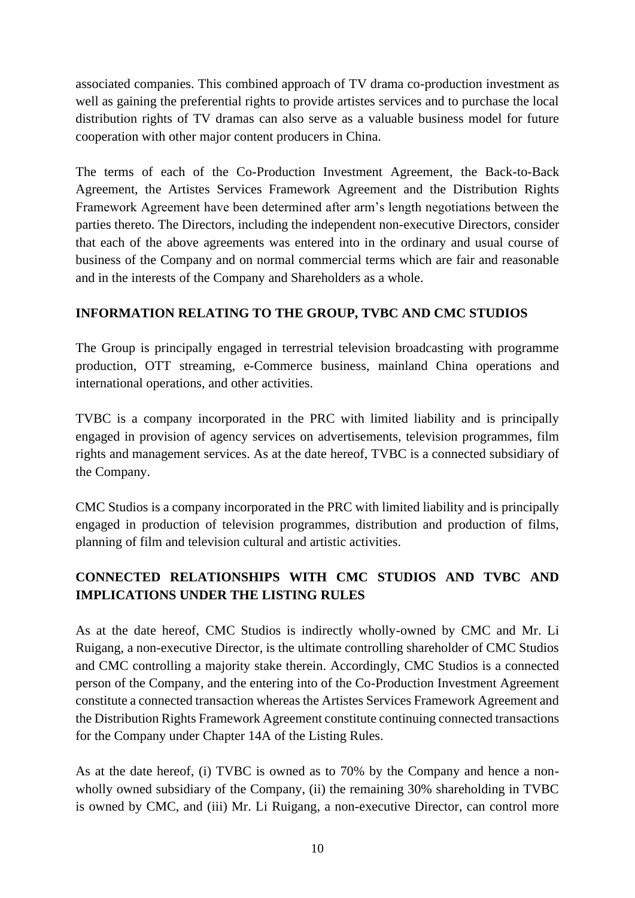associated companies. This combined approach of TV drama co-production investment as well as gaining the preferential rights to provide artistes services and to purchase the local distribution rights of TV dramas can also serve as a valuable business model for future cooperation with other major content producers in China.

The terms of each of the Co-Production Investment Agreement, the Back-to-Back Agreement, the Artistes Services Framework Agreement and the Distribution Rights Framework Agreement have been determined after arm's length negotiations between the parties thereto. The Directors, including the independent non-executive Directors, consider that each of the above agreements was entered into in the ordinary and usual course of business of the Company and on normal commercial terms which are fair and reasonable and in the interests of the Company and Shareholders as a whole.

#### **INFORMATION RELATING TO THE GROUP, TVBC AND CMC STUDIOS**

The Group is principally engaged in terrestrial television broadcasting with programme production, OTT streaming, e-Commerce business, mainland China operations and international operations, and other activities.

TVBC is a company incorporated in the PRC with limited liability and is principally engaged in provision of agency services on advertisements, television programmes, film rights and management services. As at the date hereof, TVBC is a connected subsidiary of the Company.

CMC Studios is a company incorporated in the PRC with limited liability and is principally engaged in production of television programmes, distribution and production of films, planning of film and television cultural and artistic activities.

# **CONNECTED RELATIONSHIPS WITH CMC STUDIOS AND TVBC AND IMPLICATIONS UNDER THE LISTING RULES**

As at the date hereof, CMC Studios is indirectly wholly-owned by CMC and Mr. Li Ruigang, a non-executive Director, is the ultimate controlling shareholder of CMC Studios and CMC controlling a majority stake therein. Accordingly, CMC Studios is a connected person of the Company, and the entering into of the Co-Production Investment Agreement constitute a connected transaction whereas the Artistes Services Framework Agreement and the Distribution Rights Framework Agreement constitute continuing connected transactions for the Company under Chapter 14A of the Listing Rules.

As at the date hereof, (i) TVBC is owned as to 70% by the Company and hence a nonwholly owned subsidiary of the Company, (ii) the remaining 30% shareholding in TVBC is owned by CMC, and (iii) Mr. Li Ruigang, a non-executive Director, can control more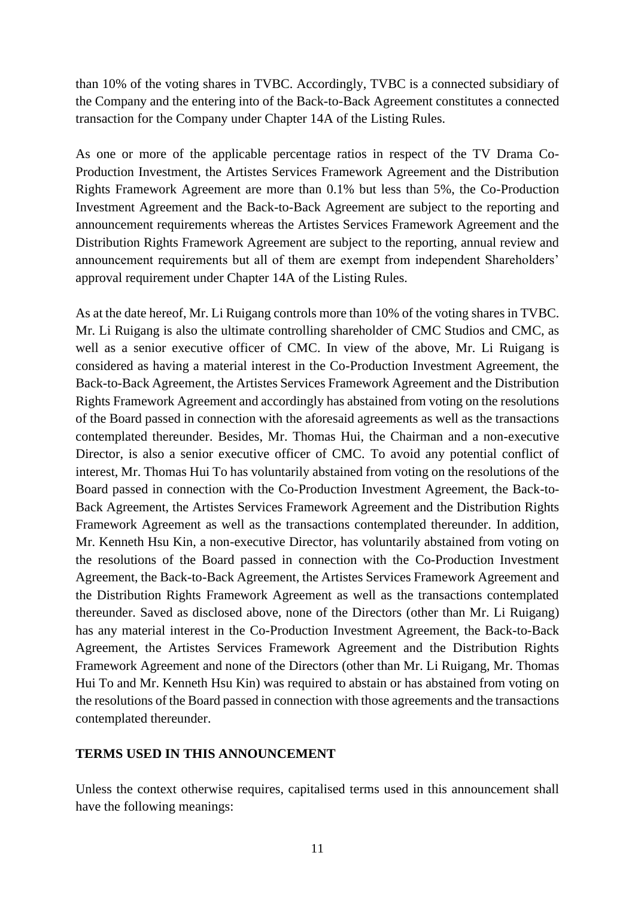than 10% of the voting shares in TVBC. Accordingly, TVBC is a connected subsidiary of the Company and the entering into of the Back-to-Back Agreement constitutes a connected transaction for the Company under Chapter 14A of the Listing Rules.

As one or more of the applicable percentage ratios in respect of the TV Drama Co-Production Investment, the Artistes Services Framework Agreement and the Distribution Rights Framework Agreement are more than 0.1% but less than 5%, the Co-Production Investment Agreement and the Back-to-Back Agreement are subject to the reporting and announcement requirements whereas the Artistes Services Framework Agreement and the Distribution Rights Framework Agreement are subject to the reporting, annual review and announcement requirements but all of them are exempt from independent Shareholders' approval requirement under Chapter 14A of the Listing Rules.

As at the date hereof, Mr. Li Ruigang controls more than 10% of the voting shares in TVBC. Mr. Li Ruigang is also the ultimate controlling shareholder of CMC Studios and CMC, as well as a senior executive officer of CMC. In view of the above, Mr. Li Ruigang is considered as having a material interest in the Co-Production Investment Agreement, the Back-to-Back Agreement, the Artistes Services Framework Agreement and the Distribution Rights Framework Agreement and accordingly has abstained from voting on the resolutions of the Board passed in connection with the aforesaid agreements as well as the transactions contemplated thereunder. Besides, Mr. Thomas Hui, the Chairman and a non-executive Director, is also a senior executive officer of CMC. To avoid any potential conflict of interest, Mr. Thomas Hui To has voluntarily abstained from voting on the resolutions of the Board passed in connection with the Co-Production Investment Agreement, the Back-to-Back Agreement, the Artistes Services Framework Agreement and the Distribution Rights Framework Agreement as well as the transactions contemplated thereunder. In addition, Mr. Kenneth Hsu Kin, a non-executive Director, has voluntarily abstained from voting on the resolutions of the Board passed in connection with the Co-Production Investment Agreement, the Back-to-Back Agreement, the Artistes Services Framework Agreement and the Distribution Rights Framework Agreement as well as the transactions contemplated thereunder. Saved as disclosed above, none of the Directors (other than Mr. Li Ruigang) has any material interest in the Co-Production Investment Agreement, the Back-to-Back Agreement, the Artistes Services Framework Agreement and the Distribution Rights Framework Agreement and none of the Directors (other than Mr. Li Ruigang, Mr. Thomas Hui To and Mr. Kenneth Hsu Kin) was required to abstain or has abstained from voting on the resolutions of the Board passed in connection with those agreements and the transactions contemplated thereunder.

#### **TERMS USED IN THIS ANNOUNCEMENT**

Unless the context otherwise requires, capitalised terms used in this announcement shall have the following meanings: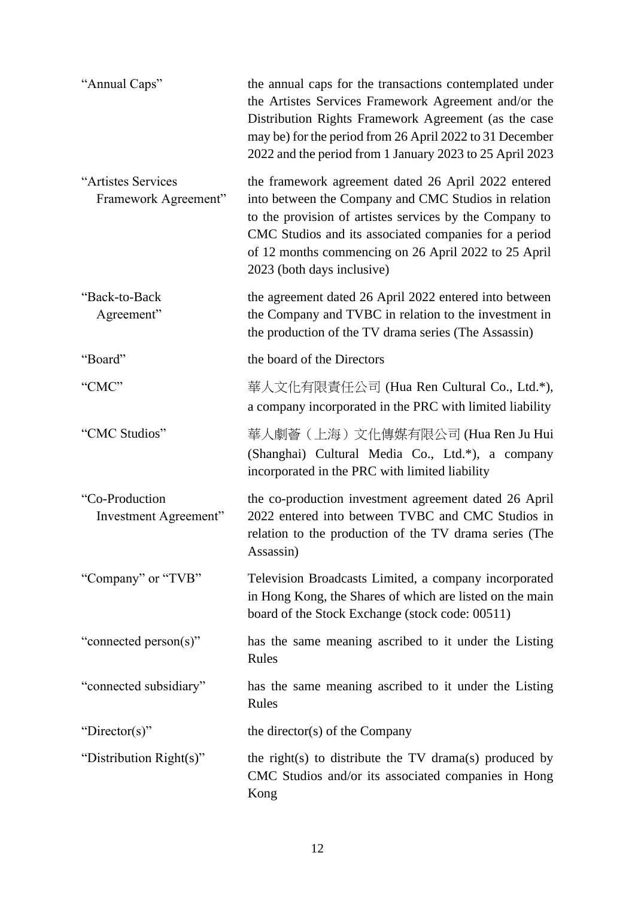| "Annual Caps"                              | the annual caps for the transactions contemplated under<br>the Artistes Services Framework Agreement and/or the<br>Distribution Rights Framework Agreement (as the case<br>may be) for the period from 26 April 2022 to 31 December<br>2022 and the period from 1 January 2023 to 25 April 2023                       |
|--------------------------------------------|-----------------------------------------------------------------------------------------------------------------------------------------------------------------------------------------------------------------------------------------------------------------------------------------------------------------------|
| "Artistes Services<br>Framework Agreement" | the framework agreement dated 26 April 2022 entered<br>into between the Company and CMC Studios in relation<br>to the provision of artistes services by the Company to<br>CMC Studios and its associated companies for a period<br>of 12 months commencing on 26 April 2022 to 25 April<br>2023 (both days inclusive) |
| "Back-to-Back<br>Agreement"                | the agreement dated 26 April 2022 entered into between<br>the Company and TVBC in relation to the investment in<br>the production of the TV drama series (The Assassin)                                                                                                                                               |
| "Board"                                    | the board of the Directors                                                                                                                                                                                                                                                                                            |
| "CMC"                                      | 華人文化有限責任公司 (Hua Ren Cultural Co., Ltd.*),<br>a company incorporated in the PRC with limited liability                                                                                                                                                                                                                 |
| "CMC Studios"                              | 華人劇薈(上海)文化傳媒有限公司 (Hua Ren Ju Hui<br>(Shanghai) Cultural Media Co., Ltd.*), a company<br>incorporated in the PRC with limited liability                                                                                                                                                                                |
| "Co-Production<br>Investment Agreement"    | the co-production investment agreement dated 26 April<br>2022 entered into between TVBC and CMC Studios in<br>relation to the production of the TV drama series (The<br>Assassin)                                                                                                                                     |
| "Company" or "TVB"                         | Television Broadcasts Limited, a company incorporated<br>in Hong Kong, the Shares of which are listed on the main<br>board of the Stock Exchange (stock code: 00511)                                                                                                                                                  |
| "connected person(s)"                      | has the same meaning ascribed to it under the Listing<br>Rules                                                                                                                                                                                                                                                        |
| "connected subsidiary"                     | has the same meaning ascribed to it under the Listing<br>Rules                                                                                                                                                                                                                                                        |
| "Director(s)"                              | the director(s) of the Company                                                                                                                                                                                                                                                                                        |
| "Distribution Right(s)"                    | the right(s) to distribute the TV drama(s) produced by<br>CMC Studios and/or its associated companies in Hong<br>Kong                                                                                                                                                                                                 |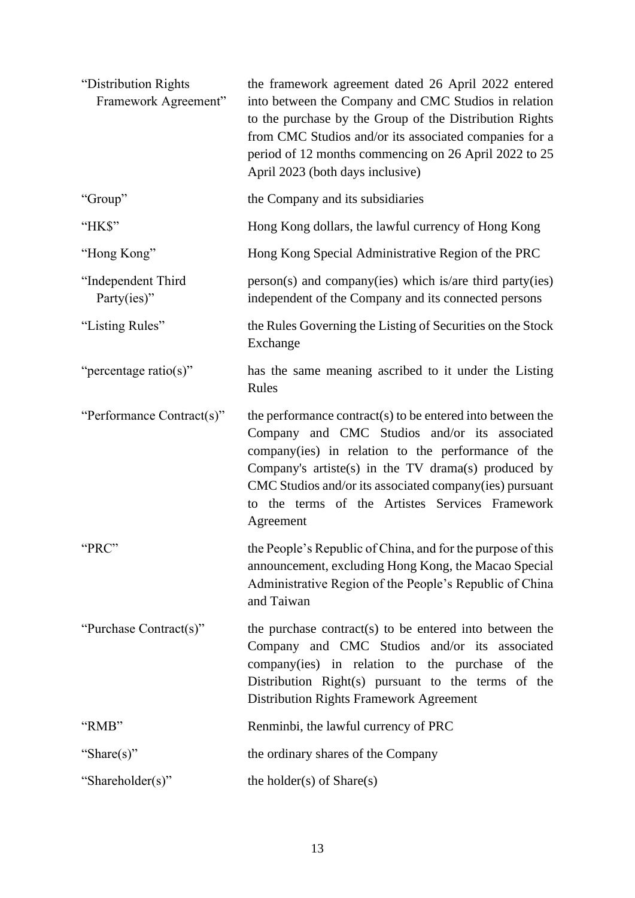| "Distribution Rights<br>Framework Agreement" | the framework agreement dated 26 April 2022 entered<br>into between the Company and CMC Studios in relation<br>to the purchase by the Group of the Distribution Rights<br>from CMC Studios and/or its associated companies for a<br>period of 12 months commencing on 26 April 2022 to 25<br>April 2023 (both days inclusive)                       |
|----------------------------------------------|-----------------------------------------------------------------------------------------------------------------------------------------------------------------------------------------------------------------------------------------------------------------------------------------------------------------------------------------------------|
| "Group"                                      | the Company and its subsidiaries                                                                                                                                                                                                                                                                                                                    |
| "HK\$"                                       | Hong Kong dollars, the lawful currency of Hong Kong                                                                                                                                                                                                                                                                                                 |
| "Hong Kong"                                  | Hong Kong Special Administrative Region of the PRC                                                                                                                                                                                                                                                                                                  |
| "Independent Third<br>Party(ies)"            | $person(s)$ and company(ies) which is/are third party(ies)<br>independent of the Company and its connected persons                                                                                                                                                                                                                                  |
| "Listing Rules"                              | the Rules Governing the Listing of Securities on the Stock<br>Exchange                                                                                                                                                                                                                                                                              |
| "percentage ratio(s)"                        | has the same meaning ascribed to it under the Listing<br>Rules                                                                                                                                                                                                                                                                                      |
| "Performance Contract(s)"                    | the performance contract(s) to be entered into between the<br>Company and CMC Studios and/or its associated<br>company(ies) in relation to the performance of the<br>Company's artiste(s) in the TV drama(s) produced by<br>CMC Studios and/or its associated company(ies) pursuant<br>to the terms of the Artistes Services Framework<br>Agreement |
| "PRC"                                        | the People's Republic of China, and for the purpose of this<br>announcement, excluding Hong Kong, the Macao Special<br>Administrative Region of the People's Republic of China<br>and Taiwan                                                                                                                                                        |
| "Purchase Contract(s)"                       | the purchase contract(s) to be entered into between the<br>Company and CMC Studios and/or its associated<br>company(ies) in relation to the purchase of the<br>Distribution Right(s) pursuant to the terms of the<br><b>Distribution Rights Framework Agreement</b>                                                                                 |
| "RMB"                                        | Renminbi, the lawful currency of PRC                                                                                                                                                                                                                                                                                                                |
| "Share(s)"                                   | the ordinary shares of the Company                                                                                                                                                                                                                                                                                                                  |
| "Shareholder(s)"                             | the holder(s) of $Share(s)$                                                                                                                                                                                                                                                                                                                         |